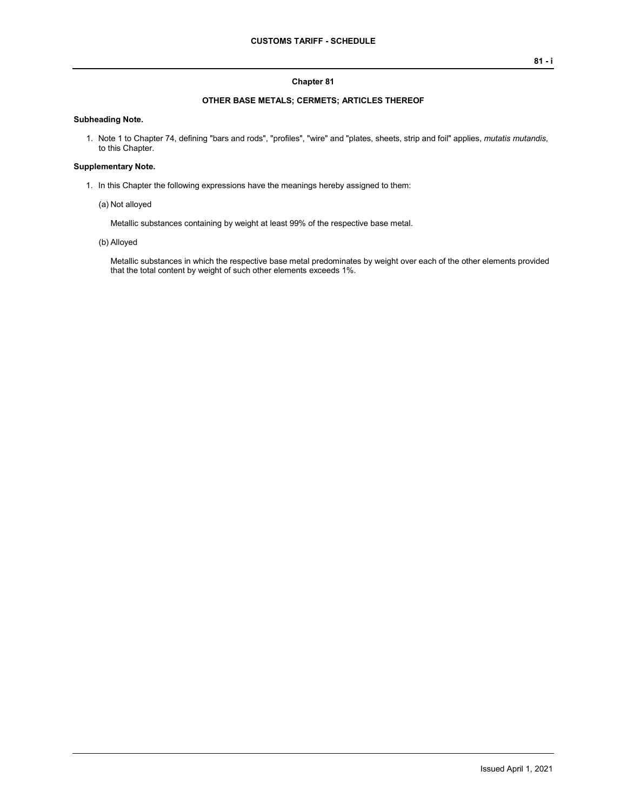#### **Chapter 81**

## **OTHER BASE METALS; CERMETS; ARTICLES THEREOF**

### **Subheading Note.**

1. Note 1 to Chapter 74, defining "bars and rods", "profiles", "wire" and "plates, sheets, strip and foil" applies, *mutatis mutandis*, to this Chapter.

#### **Supplementary Note.**

- 1. In this Chapter the following expressions have the meanings hereby assigned to them:
	- (a) Not alloyed

Metallic substances containing by weight at least 99% of the respective base metal.

(b) Alloyed

Metallic substances in which the respective base metal predominates by weight over each of the other elements provided that the total content by weight of such other elements exceeds 1%.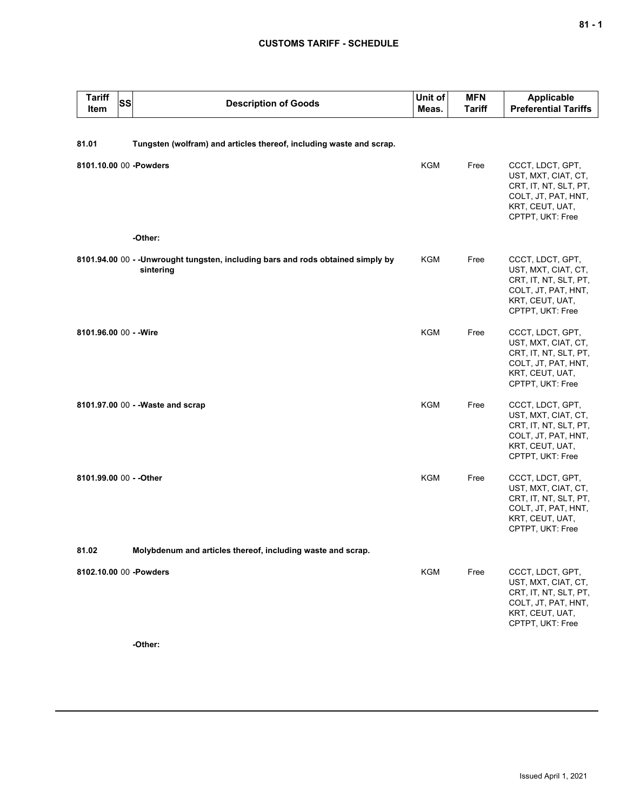# **CUSTOMS TARIFF - SCHEDULE**

| <b>Tariff</b><br>Item   | SS | <b>Description of Goods</b>                                                                   | Unit of<br>Meas. | <b>MFN</b><br><b>Tariff</b> | <b>Applicable</b><br><b>Preferential Tariffs</b>                                                                               |
|-------------------------|----|-----------------------------------------------------------------------------------------------|------------------|-----------------------------|--------------------------------------------------------------------------------------------------------------------------------|
| 81.01                   |    | Tungsten (wolfram) and articles thereof, including waste and scrap.                           |                  |                             |                                                                                                                                |
| 8101.10.00 00 -Powders  |    |                                                                                               | <b>KGM</b>       | Free                        | CCCT, LDCT, GPT,<br>UST, MXT, CIAT, CT,<br>CRT, IT, NT, SLT, PT,<br>COLT, JT, PAT, HNT,<br>KRT, CEUT, UAT,<br>CPTPT, UKT: Free |
|                         |    | -Other:                                                                                       |                  |                             |                                                                                                                                |
|                         |    | 8101.94.00 00 - - Unwrought tungsten, including bars and rods obtained simply by<br>sintering | KGM              | Free                        | CCCT, LDCT, GPT,<br>UST, MXT, CIAT, CT,<br>CRT, IT, NT, SLT, PT,<br>COLT, JT, PAT, HNT,<br>KRT, CEUT, UAT,<br>CPTPT, UKT: Free |
| 8101.96.00 00 - - Wire  |    |                                                                                               | <b>KGM</b>       | Free                        | CCCT, LDCT, GPT,<br>UST, MXT, CIAT, CT,<br>CRT, IT, NT, SLT, PT,<br>COLT, JT, PAT, HNT,<br>KRT, CEUT, UAT,<br>CPTPT, UKT: Free |
|                         |    | 8101.97.00 00 - - Waste and scrap                                                             | <b>KGM</b>       | Free                        | CCCT, LDCT, GPT,<br>UST, MXT, CIAT, CT,<br>CRT, IT, NT, SLT, PT,<br>COLT, JT, PAT, HNT,<br>KRT, CEUT, UAT,<br>CPTPT, UKT: Free |
| 8101.99.00 00 - - Other |    |                                                                                               | <b>KGM</b>       | Free                        | CCCT, LDCT, GPT,<br>UST, MXT, CIAT, CT,<br>CRT, IT, NT, SLT, PT,<br>COLT, JT, PAT, HNT,<br>KRT, CEUT, UAT,<br>CPTPT, UKT: Free |
| 81.02                   |    | Molybdenum and articles thereof, including waste and scrap.                                   |                  |                             |                                                                                                                                |
| 8102.10.00 00 -Powders  |    | -Other:                                                                                       | KGM              | Free                        | CCCT, LDCT, GPT,<br>UST, MXT, CIAT, CT,<br>CRT, IT, NT, SLT, PT,<br>COLT, JT, PAT, HNT,<br>KRT, CEUT, UAT,<br>CPTPT, UKT: Free |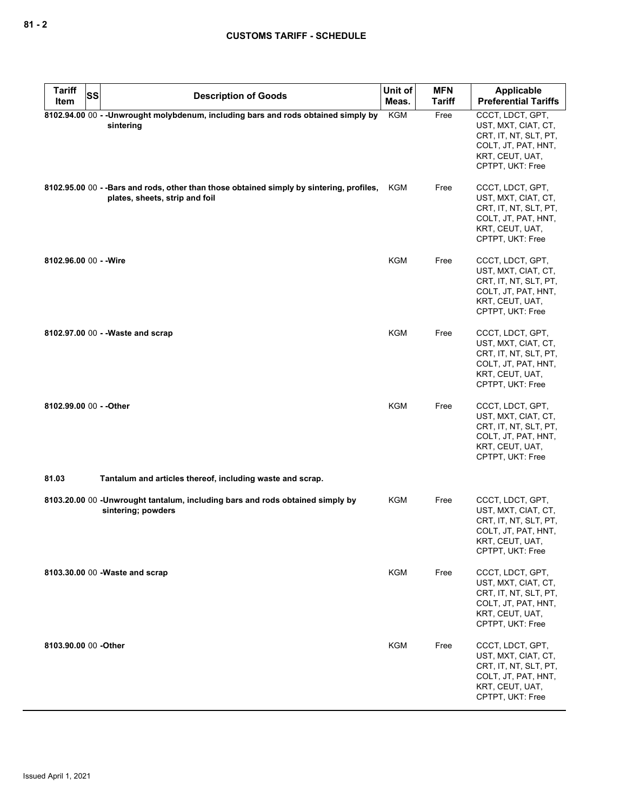| <b>Tariff</b>           | SS<br><b>Description of Goods</b>                                                                                           | Unit of<br>Meas. | <b>MFN</b><br>Tariff | Applicable<br><b>Preferential Tariffs</b>                                                                                      |
|-------------------------|-----------------------------------------------------------------------------------------------------------------------------|------------------|----------------------|--------------------------------------------------------------------------------------------------------------------------------|
| Item                    |                                                                                                                             |                  |                      |                                                                                                                                |
|                         | 8102.94.00 00 - - Unwrought molybdenum, including bars and rods obtained simply by<br>sintering                             | <b>KGM</b>       | Free                 | CCCT, LDCT, GPT,<br>UST, MXT, CIAT, CT,<br>CRT, IT, NT, SLT, PT,<br>COLT, JT, PAT, HNT,<br>KRT, CEUT, UAT,<br>CPTPT, UKT: Free |
|                         | 8102.95.00 00 - - Bars and rods, other than those obtained simply by sintering, profiles,<br>plates, sheets, strip and foil | KGM              | Free                 | CCCT, LDCT, GPT,<br>UST, MXT, CIAT, CT,<br>CRT, IT, NT, SLT, PT,<br>COLT, JT, PAT, HNT,<br>KRT, CEUT, UAT,<br>CPTPT, UKT: Free |
| 8102.96.00 00 - - Wire  |                                                                                                                             | KGM              | Free                 | CCCT, LDCT, GPT,<br>UST, MXT, CIAT, CT,<br>CRT, IT, NT, SLT, PT,<br>COLT, JT, PAT, HNT,<br>KRT, CEUT, UAT,<br>CPTPT, UKT: Free |
|                         | 8102.97.00 00 - - Waste and scrap                                                                                           | KGM              | Free                 | CCCT, LDCT, GPT,<br>UST, MXT, CIAT, CT,<br>CRT, IT, NT, SLT, PT,<br>COLT, JT, PAT, HNT,<br>KRT, CEUT, UAT,<br>CPTPT, UKT: Free |
| 8102.99.00 00 - - Other |                                                                                                                             | <b>KGM</b>       | Free                 | CCCT, LDCT, GPT,<br>UST, MXT, CIAT, CT,<br>CRT, IT, NT, SLT, PT,<br>COLT, JT, PAT, HNT,<br>KRT, CEUT, UAT,<br>CPTPT, UKT: Free |
| 81.03                   | Tantalum and articles thereof, including waste and scrap.                                                                   |                  |                      |                                                                                                                                |
|                         | 8103.20.00 00 -Unwrought tantalum, including bars and rods obtained simply by<br>sintering; powders                         | KGM              | Free                 | CCCT, LDCT, GPT,<br>UST, MXT, CIAT, CT,<br>CRT, IT, NT, SLT, PT,<br>COLT, JT, PAT, HNT,<br>KRT, CEUT, UAT,<br>CPTPT, UKT: Free |
|                         | 8103.30.00 00 - Waste and scrap                                                                                             | <b>KGM</b>       | Free                 | CCCT, LDCT, GPT,<br>UST, MXT, CIAT, CT,<br>CRT, IT, NT, SLT, PT,<br>COLT, JT, PAT, HNT,<br>KRT, CEUT, UAT,<br>CPTPT, UKT: Free |
| 8103.90.00 00 - Other   |                                                                                                                             | KGM              | Free                 | CCCT, LDCT, GPT,<br>UST, MXT, CIAT, CT,<br>CRT, IT, NT, SLT, PT,<br>COLT, JT, PAT, HNT,<br>KRT, CEUT, UAT,<br>CPTPT, UKT: Free |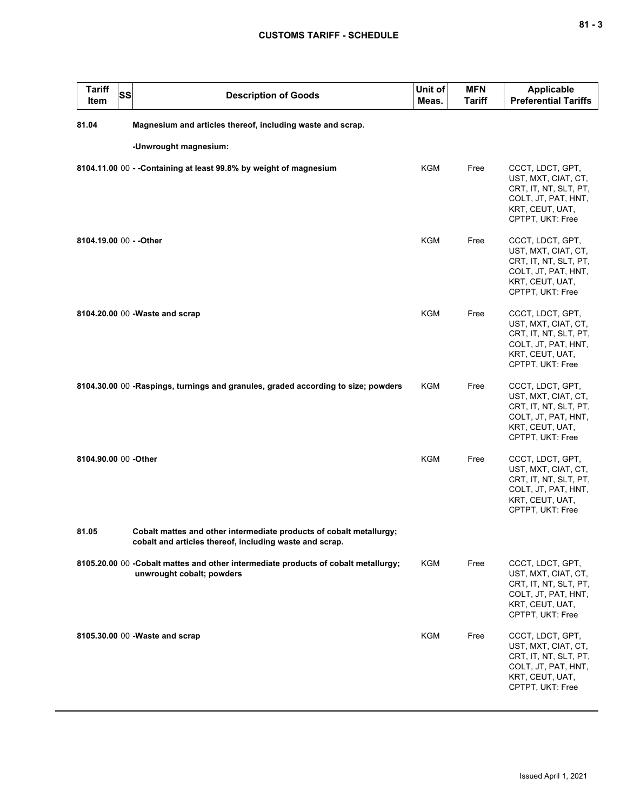| <b>Tariff</b><br>Item   | SS | <b>Description of Goods</b>                                                                                                    | Unit of<br>Meas. | <b>MFN</b><br><b>Tariff</b> | <b>Applicable</b><br><b>Preferential Tariffs</b>                                                                               |
|-------------------------|----|--------------------------------------------------------------------------------------------------------------------------------|------------------|-----------------------------|--------------------------------------------------------------------------------------------------------------------------------|
| 81.04                   |    | Magnesium and articles thereof, including waste and scrap.                                                                     |                  |                             |                                                                                                                                |
|                         |    | -Unwrought magnesium:                                                                                                          |                  |                             |                                                                                                                                |
|                         |    | 8104.11.00 00 - - Containing at least 99.8% by weight of magnesium                                                             | <b>KGM</b>       | Free                        | CCCT, LDCT, GPT,<br>UST, MXT, CIAT, CT,<br>CRT, IT, NT, SLT, PT,<br>COLT, JT, PAT, HNT,<br>KRT, CEUT, UAT,<br>CPTPT, UKT: Free |
| 8104.19.00 00 - - Other |    |                                                                                                                                | <b>KGM</b>       | Free                        | CCCT, LDCT, GPT,<br>UST, MXT, CIAT, CT,<br>CRT, IT, NT, SLT, PT,<br>COLT, JT, PAT, HNT,<br>KRT, CEUT, UAT,<br>CPTPT, UKT: Free |
|                         |    | 8104.20.00 00 - Waste and scrap                                                                                                | <b>KGM</b>       | Free                        | CCCT, LDCT, GPT,<br>UST, MXT, CIAT, CT,<br>CRT, IT, NT, SLT, PT,<br>COLT, JT, PAT, HNT,<br>KRT, CEUT, UAT,<br>CPTPT, UKT: Free |
|                         |    | 8104.30.00 00 -Raspings, turnings and granules, graded according to size; powders                                              | KGM              | Free                        | CCCT, LDCT, GPT,<br>UST, MXT, CIAT, CT,<br>CRT, IT, NT, SLT, PT,<br>COLT, JT, PAT, HNT,<br>KRT, CEUT, UAT,<br>CPTPT, UKT: Free |
| 8104.90.00 00 -Other    |    |                                                                                                                                | <b>KGM</b>       | Free                        | CCCT, LDCT, GPT,<br>UST, MXT, CIAT, CT,<br>CRT, IT, NT, SLT, PT,<br>COLT, JT, PAT, HNT,<br>KRT, CEUT, UAT,<br>CPTPT, UKT: Free |
| 81.05                   |    | Cobalt mattes and other intermediate products of cobalt metallurgy;<br>cobalt and articles thereof, including waste and scrap. |                  |                             |                                                                                                                                |
|                         |    | 8105.20.00 00 - Cobalt mattes and other intermediate products of cobalt metallurgy;<br>unwrought cobalt; powders               | KGM              | Free                        | CCCT, LDCT, GPT,<br>UST, MXT, CIAT, CT,<br>CRT, IT, NT, SLT, PT,<br>COLT, JT, PAT, HNT,<br>KRT, CEUT, UAT,<br>CPTPT, UKT: Free |
|                         |    | 8105.30.00 00 - Waste and scrap                                                                                                | KGM              | Free                        | CCCT, LDCT, GPT,<br>UST, MXT, CIAT, CT,<br>CRT, IT, NT, SLT, PT,<br>COLT, JT, PAT, HNT,<br>KRT, CEUT, UAT,<br>CPTPT, UKT: Free |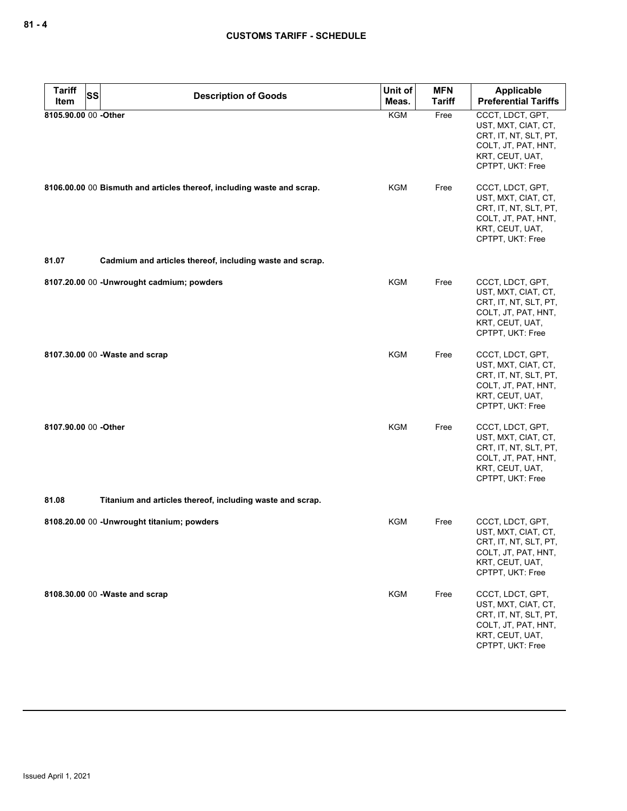| <b>Tariff</b>        | <b>SS</b><br><b>Description of Goods</b>                               | Unit of    | <b>MFN</b>    | <b>Applicable</b>                                                                                                              |
|----------------------|------------------------------------------------------------------------|------------|---------------|--------------------------------------------------------------------------------------------------------------------------------|
| Item                 |                                                                        | Meas.      | <b>Tariff</b> | <b>Preferential Tariffs</b>                                                                                                    |
| 8105.90.00 00 -Other |                                                                        | KGM        | Free          | CCCT, LDCT, GPT,<br>UST, MXT, CIAT, CT,<br>CRT, IT, NT, SLT, PT,<br>COLT, JT, PAT, HNT,<br>KRT, CEUT, UAT,<br>CPTPT, UKT: Free |
|                      | 8106.00.00 00 Bismuth and articles thereof, including waste and scrap. | KGM        | Free          | CCCT, LDCT, GPT,<br>UST, MXT, CIAT, CT,<br>CRT, IT, NT, SLT, PT,<br>COLT, JT, PAT, HNT,<br>KRT, CEUT, UAT,<br>CPTPT, UKT: Free |
| 81.07                | Cadmium and articles thereof, including waste and scrap.               |            |               |                                                                                                                                |
|                      | 8107.20.00 00 -Unwrought cadmium; powders                              | <b>KGM</b> | Free          | CCCT, LDCT, GPT,<br>UST, MXT, CIAT, CT,<br>CRT, IT, NT, SLT, PT,<br>COLT, JT, PAT, HNT,<br>KRT, CEUT, UAT,<br>CPTPT, UKT: Free |
|                      | 8107.30.00 00 - Waste and scrap                                        | <b>KGM</b> | Free          | CCCT, LDCT, GPT,<br>UST, MXT, CIAT, CT,<br>CRT, IT, NT, SLT, PT,<br>COLT, JT, PAT, HNT,<br>KRT, CEUT, UAT,<br>CPTPT, UKT: Free |
| 8107.90.00 00 -Other |                                                                        | <b>KGM</b> | Free          | CCCT, LDCT, GPT,<br>UST, MXT, CIAT, CT,<br>CRT, IT, NT, SLT, PT,<br>COLT, JT, PAT, HNT,<br>KRT, CEUT, UAT,<br>CPTPT, UKT: Free |
| 81.08                | Titanium and articles thereof, including waste and scrap.              |            |               |                                                                                                                                |
|                      | 8108.20.00 00 - Unwrought titanium; powders                            | KGM        | Free          | CCCT, LDCT, GPT,<br>UST, MXT, CIAT, CT,<br>CRT, IT, NT, SLT, PT,<br>COLT, JT, PAT, HNT,<br>KRT, CEUT, UAT,<br>CPTPT, UKT: Free |
|                      | 8108.30.00 00 -Waste and scrap                                         | <b>KGM</b> | Free          | CCCT, LDCT, GPT,<br>UST, MXT, CIAT, CT,<br>CRT, IT, NT, SLT, PT,<br>COLT, JT, PAT, HNT,<br>KRT, CEUT, UAT,<br>CPTPT, UKT: Free |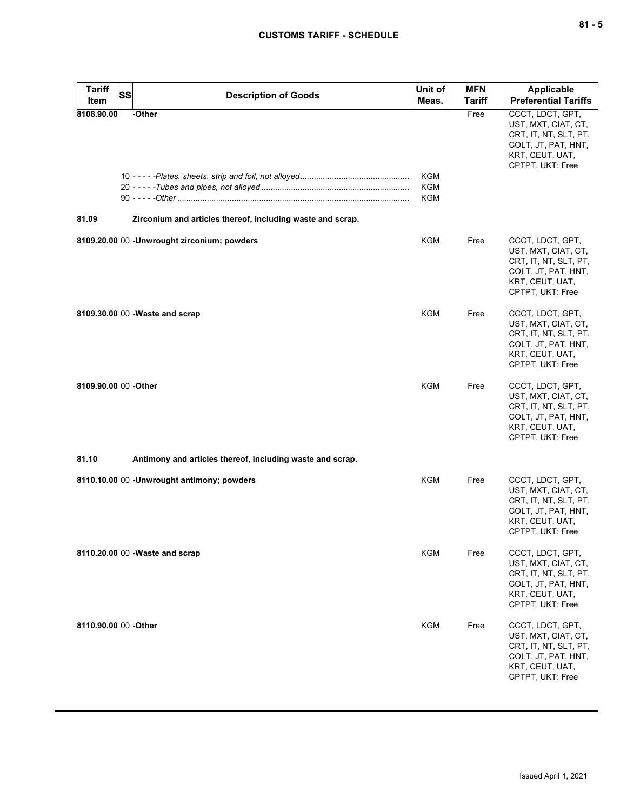| v<br>۰. |  | ×<br>۰. |
|---------|--|---------|
|---------|--|---------|

| <b>Tariff</b><br>Item | <b>SS</b> | <b>Description of Goods</b>                                | Unit of<br>Meas.         | <b>MFN</b><br><b>Tariff</b> | <b>Applicable</b><br><b>Preferential Tariffs</b>                                                                               |
|-----------------------|-----------|------------------------------------------------------------|--------------------------|-----------------------------|--------------------------------------------------------------------------------------------------------------------------------|
| 8108.90.00            |           | -Other                                                     | KGM<br><b>KGM</b><br>KGM | Free                        | CCCT, LDCT, GPT,<br>UST, MXT, CIAT, CT,<br>CRT, IT, NT, SLT, PT,<br>COLT, JT, PAT, HNT,<br>KRT, CEUT, UAT,<br>CPTPT, UKT: Free |
| 81.09                 |           | Zirconium and articles thereof, including waste and scrap. |                          |                             |                                                                                                                                |
|                       |           | 8109.20.00 00 -Unwrought zirconium; powders                | KGM                      | Free                        | CCCT, LDCT, GPT,<br>UST, MXT, CIAT, CT,<br>CRT, IT, NT, SLT, PT,<br>COLT, JT, PAT, HNT,<br>KRT, CEUT, UAT,<br>CPTPT, UKT: Free |
|                       |           | 8109.30.00 00 - Waste and scrap                            | KGM                      | Free                        | CCCT, LDCT, GPT,<br>UST, MXT, CIAT, CT,<br>CRT, IT, NT, SLT, PT,<br>COLT, JT, PAT, HNT,<br>KRT, CEUT, UAT,<br>CPTPT, UKT: Free |
| 8109.90.00 00 - Other |           |                                                            | KGM                      | Free                        | CCCT, LDCT, GPT,<br>UST, MXT, CIAT, CT,<br>CRT, IT, NT, SLT, PT,<br>COLT, JT, PAT, HNT,<br>KRT, CEUT, UAT,<br>CPTPT, UKT: Free |
| 81.10                 |           | Antimony and articles thereof, including waste and scrap.  |                          |                             |                                                                                                                                |
|                       |           | 8110.10.00 00 - Unwrought antimony; powders                | KGM                      | Free                        | CCCT, LDCT, GPT,<br>UST, MXT, CIAT, CT,<br>CRT, IT, NT, SLT, PT,<br>COLT, JT, PAT, HNT,<br>KRT, CEUT, UAT,<br>CPTPT, UKT: Free |
|                       |           | 8110.20.00 00 - Waste and scrap                            | <b>KGM</b>               | Free                        | CCCT, LDCT, GPT,<br>UST, MXT, CIAT, CT,<br>CRT, IT, NT, SLT, PT,<br>COLT, JT, PAT, HNT,<br>KRT, CEUT, UAT,<br>CPTPT, UKT: Free |
| 8110.90.00 00 -Other  |           |                                                            | <b>KGM</b>               | Free                        | CCCT, LDCT, GPT,<br>UST, MXT, CIAT, CT,<br>CRT, IT, NT, SLT, PT,<br>COLT, JT, PAT, HNT,<br>KRT, CEUT, UAT,<br>CPTPT, UKT: Free |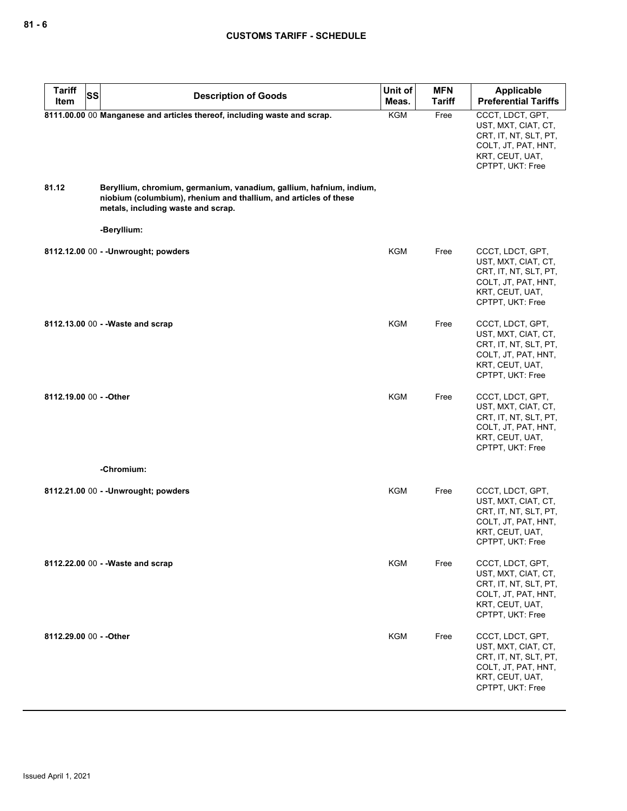| <b>Tariff</b><br>SS     |                                                                                                                                                                                                                     | Unit of    | <b>MFN</b>    | Applicable                                                                                                                     |
|-------------------------|---------------------------------------------------------------------------------------------------------------------------------------------------------------------------------------------------------------------|------------|---------------|--------------------------------------------------------------------------------------------------------------------------------|
| Item                    | <b>Description of Goods</b>                                                                                                                                                                                         | Meas.      | <b>Tariff</b> | <b>Preferential Tariffs</b>                                                                                                    |
| 81.12                   | 8111.00.00 00 Manganese and articles thereof, including waste and scrap.<br>Beryllium, chromium, germanium, vanadium, gallium, hafnium, indium,<br>niobium (columbium), rhenium and thallium, and articles of these | KGM        | Free          | CCCT, LDCT, GPT,<br>UST, MXT, CIAT, CT,<br>CRT, IT, NT, SLT, PT,<br>COLT, JT, PAT, HNT,<br>KRT, CEUT, UAT,<br>CPTPT, UKT: Free |
|                         | metals, including waste and scrap.                                                                                                                                                                                  |            |               |                                                                                                                                |
|                         | -Beryllium:                                                                                                                                                                                                         |            |               |                                                                                                                                |
|                         | 8112.12.00 00 - - Unwrought; powders                                                                                                                                                                                | <b>KGM</b> | Free          | CCCT, LDCT, GPT,<br>UST, MXT, CIAT, CT,<br>CRT, IT, NT, SLT, PT,<br>COLT, JT, PAT, HNT,<br>KRT, CEUT, UAT,<br>CPTPT, UKT: Free |
|                         | 8112.13.00 00 - - Waste and scrap                                                                                                                                                                                   | KGM        | Free          | CCCT, LDCT, GPT,<br>UST, MXT, CIAT, CT,<br>CRT, IT, NT, SLT, PT,<br>COLT, JT, PAT, HNT,<br>KRT, CEUT, UAT,<br>CPTPT, UKT: Free |
| 8112.19.00 00 - - Other |                                                                                                                                                                                                                     | <b>KGM</b> | Free          | CCCT, LDCT, GPT,<br>UST, MXT, CIAT, CT,<br>CRT, IT, NT, SLT, PT,<br>COLT, JT, PAT, HNT,<br>KRT, CEUT, UAT,<br>CPTPT, UKT: Free |
|                         | -Chromium:                                                                                                                                                                                                          |            |               |                                                                                                                                |
|                         | 8112.21.00 00 - - Unwrought; powders                                                                                                                                                                                | <b>KGM</b> | Free          | CCCT, LDCT, GPT,<br>UST, MXT, CIAT, CT,<br>CRT, IT, NT, SLT, PT,<br>COLT, JT, PAT, HNT,<br>KRT, CEUT, UAT,<br>CPTPT, UKT: Free |
|                         | 8112.22.00 00 - - Waste and scrap                                                                                                                                                                                   | <b>KGM</b> | Free          | CCCT, LDCT, GPT,<br>UST, MXT, CIAT, CT,<br>CRT, IT, NT, SLT, PT,<br>COLT, JT, PAT, HNT,<br>KRT, CEUT, UAT,<br>CPTPT, UKT: Free |
| 8112.29.00 00 - - Other |                                                                                                                                                                                                                     | <b>KGM</b> | Free          | CCCT, LDCT, GPT,<br>UST, MXT, CIAT, CT,<br>CRT, IT, NT, SLT, PT,<br>COLT, JT, PAT, HNT,<br>KRT, CEUT, UAT,<br>CPTPT, UKT: Free |